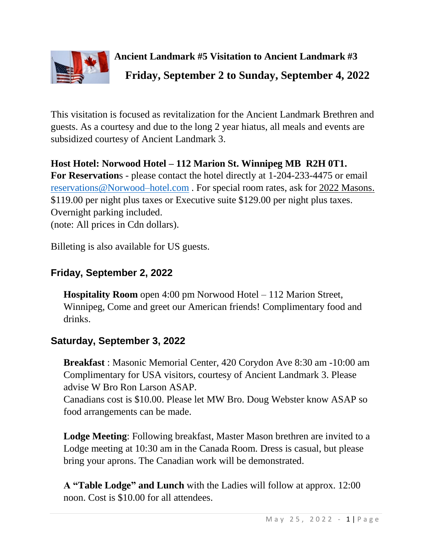

This visitation is focused as revitalization for the Ancient Landmark Brethren and guests. As a courtesy and due to the long 2 year hiatus, all meals and events are subsidized courtesy of Ancient Landmark 3.

**Host Hotel: Norwood Hotel – 112 Marion St. Winnipeg MB R2H 0T1. For Reservation**s - please contact the hotel directly at 1-204-233-4475 or email reservations@Norwood–hotel.com . For special room rates, ask for 2022 Masons. \$119.00 per night plus taxes or Executive suite \$129.00 per night plus taxes. Overnight parking included. (note: All prices in Cdn dollars).

Billeting is also available for US guests.

## **Friday, September 2, 2022**

**Hospitality Room** open 4:00 pm Norwood Hotel – 112 Marion Street, Winnipeg, Come and greet our American friends! Complimentary food and drinks.

# **Saturday, September 3, 2022**

**Breakfast** : Masonic Memorial Center, 420 Corydon Ave 8:30 am -10:00 am Complimentary for USA visitors, courtesy of Ancient Landmark 3. Please advise W Bro Ron Larson ASAP.

Canadians cost is \$10.00. Please let MW Bro. Doug Webster know ASAP so food arrangements can be made.

**Lodge Meeting**: Following breakfast, Master Mason brethren are invited to a Lodge meeting at 10:30 am in the Canada Room. Dress is casual, but please bring your aprons. The Canadian work will be demonstrated.

**A "Table Lodge" and Lunch** with the Ladies will follow at approx. 12:00 noon. Cost is \$10.00 for all attendees.